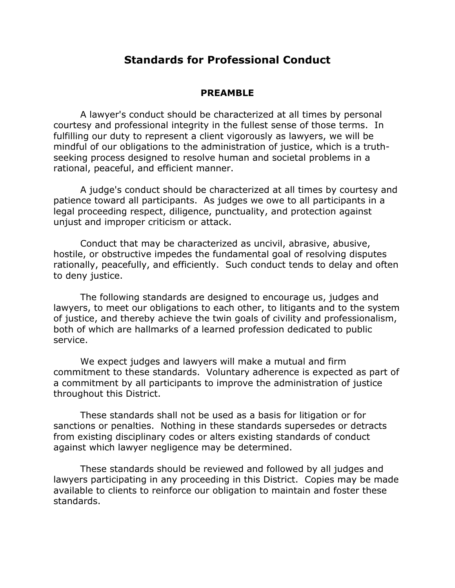## **Standards for Professional Conduct**

#### **PREAMBLE**

A lawyer's conduct should be characterized at all times by personal courtesy and professional integrity in the fullest sense of those terms. In fulfilling our duty to represent a client vigorously as lawyers, we will be mindful of our obligations to the administration of justice, which is a truthseeking process designed to resolve human and societal problems in a rational, peaceful, and efficient manner.

A judge's conduct should be characterized at all times by courtesy and patience toward all participants. As judges we owe to all participants in a legal proceeding respect, diligence, punctuality, and protection against unjust and improper criticism or attack.

Conduct that may be characterized as uncivil, abrasive, abusive, hostile, or obstructive impedes the fundamental goal of resolving disputes rationally, peacefully, and efficiently. Such conduct tends to delay and often to deny justice.

The following standards are designed to encourage us, judges and lawyers, to meet our obligations to each other, to litigants and to the system of justice, and thereby achieve the twin goals of civility and professionalism, both of which are hallmarks of a learned profession dedicated to public service.

We expect judges and lawyers will make a mutual and firm commitment to these standards. Voluntary adherence is expected as part of a commitment by all participants to improve the administration of justice throughout this District.

These standards shall not be used as a basis for litigation or for sanctions or penalties. Nothing in these standards supersedes or detracts from existing disciplinary codes or alters existing standards of conduct against which lawyer negligence may be determined.

These standards should be reviewed and followed by all judges and lawyers participating in any proceeding in this District. Copies may be made available to clients to reinforce our obligation to maintain and foster these standards.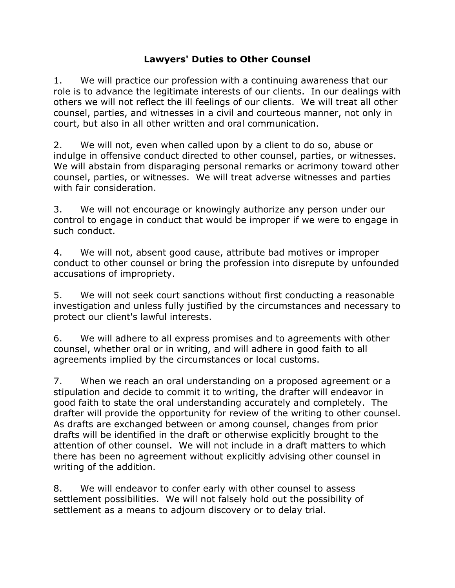## **Lawyers' Duties to Other Counsel**

1. We will practice our profession with a continuing awareness that our role is to advance the legitimate interests of our clients. In our dealings with others we will not reflect the ill feelings of our clients. We will treat all other counsel, parties, and witnesses in a civil and courteous manner, not only in court, but also in all other written and oral communication.

2. We will not, even when called upon by a client to do so, abuse or indulge in offensive conduct directed to other counsel, parties, or witnesses. We will abstain from disparaging personal remarks or acrimony toward other counsel, parties, or witnesses. We will treat adverse witnesses and parties with fair consideration.

3. We will not encourage or knowingly authorize any person under our control to engage in conduct that would be improper if we were to engage in such conduct.

4. We will not, absent good cause, attribute bad motives or improper conduct to other counsel or bring the profession into disrepute by unfounded accusations of impropriety.

5. We will not seek court sanctions without first conducting a reasonable investigation and unless fully justified by the circumstances and necessary to protect our client's lawful interests.

6. We will adhere to all express promises and to agreements with other counsel, whether oral or in writing, and will adhere in good faith to all agreements implied by the circumstances or local customs.

7. When we reach an oral understanding on a proposed agreement or a stipulation and decide to commit it to writing, the drafter will endeavor in good faith to state the oral understanding accurately and completely. The drafter will provide the opportunity for review of the writing to other counsel. As drafts are exchanged between or among counsel, changes from prior drafts will be identified in the draft or otherwise explicitly brought to the attention of other counsel. We will not include in a draft matters to which there has been no agreement without explicitly advising other counsel in writing of the addition.

8. We will endeavor to confer early with other counsel to assess settlement possibilities. We will not falsely hold out the possibility of settlement as a means to adjourn discovery or to delay trial.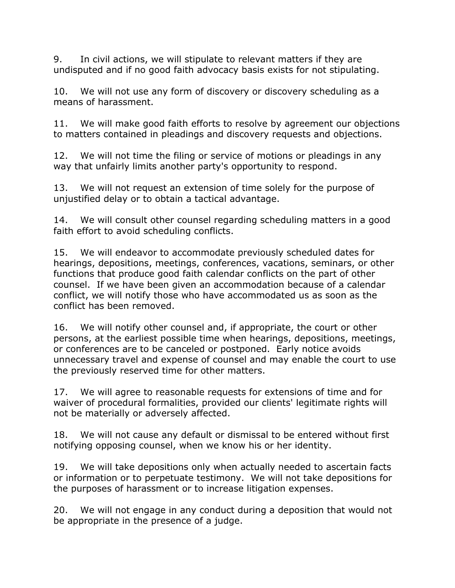9. In civil actions, we will stipulate to relevant matters if they are undisputed and if no good faith advocacy basis exists for not stipulating.

10. We will not use any form of discovery or discovery scheduling as a means of harassment.

11. We will make good faith efforts to resolve by agreement our objections to matters contained in pleadings and discovery requests and objections.

12. We will not time the filing or service of motions or pleadings in any way that unfairly limits another party's opportunity to respond.

13. We will not request an extension of time solely for the purpose of unjustified delay or to obtain a tactical advantage.

14. We will consult other counsel regarding scheduling matters in a good faith effort to avoid scheduling conflicts.

15. We will endeavor to accommodate previously scheduled dates for hearings, depositions, meetings, conferences, vacations, seminars, or other functions that produce good faith calendar conflicts on the part of other counsel. If we have been given an accommodation because of a calendar conflict, we will notify those who have accommodated us as soon as the conflict has been removed.

16. We will notify other counsel and, if appropriate, the court or other persons, at the earliest possible time when hearings, depositions, meetings, or conferences are to be canceled or postponed. Early notice avoids unnecessary travel and expense of counsel and may enable the court to use the previously reserved time for other matters.

17. We will agree to reasonable requests for extensions of time and for waiver of procedural formalities, provided our clients' legitimate rights will not be materially or adversely affected.

18. We will not cause any default or dismissal to be entered without first notifying opposing counsel, when we know his or her identity.

19. We will take depositions only when actually needed to ascertain facts or information or to perpetuate testimony. We will not take depositions for the purposes of harassment or to increase litigation expenses.

20. We will not engage in any conduct during a deposition that would not be appropriate in the presence of a judge.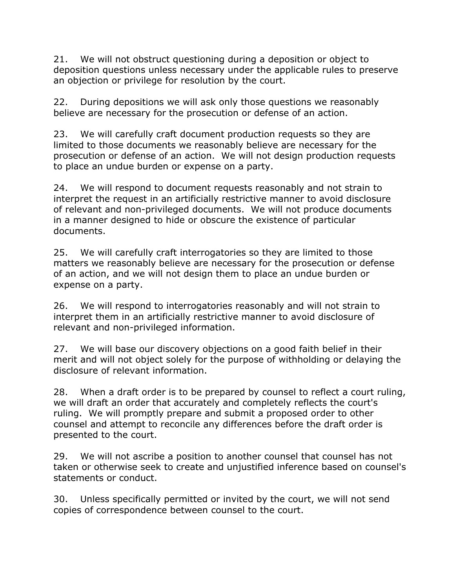21. We will not obstruct questioning during a deposition or object to deposition questions unless necessary under the applicable rules to preserve an objection or privilege for resolution by the court.

22. During depositions we will ask only those questions we reasonably believe are necessary for the prosecution or defense of an action.

23. We will carefully craft document production requests so they are limited to those documents we reasonably believe are necessary for the prosecution or defense of an action. We will not design production requests to place an undue burden or expense on a party.

24. We will respond to document requests reasonably and not strain to interpret the request in an artificially restrictive manner to avoid disclosure of relevant and non-privileged documents. We will not produce documents in a manner designed to hide or obscure the existence of particular documents.

25. We will carefully craft interrogatories so they are limited to those matters we reasonably believe are necessary for the prosecution or defense of an action, and we will not design them to place an undue burden or expense on a party.

26. We will respond to interrogatories reasonably and will not strain to interpret them in an artificially restrictive manner to avoid disclosure of relevant and non-privileged information.

27. We will base our discovery objections on a good faith belief in their merit and will not object solely for the purpose of withholding or delaying the disclosure of relevant information.

28. When a draft order is to be prepared by counsel to reflect a court ruling, we will draft an order that accurately and completely reflects the court's ruling. We will promptly prepare and submit a proposed order to other counsel and attempt to reconcile any differences before the draft order is presented to the court.

29. We will not ascribe a position to another counsel that counsel has not taken or otherwise seek to create and unjustified inference based on counsel's statements or conduct.

30. Unless specifically permitted or invited by the court, we will not send copies of correspondence between counsel to the court.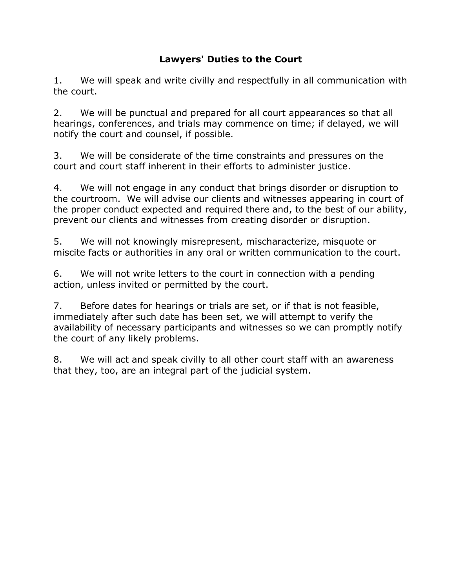# **Lawyers' Duties to the Court**

1. We will speak and write civilly and respectfully in all communication with the court.

2. We will be punctual and prepared for all court appearances so that all hearings, conferences, and trials may commence on time; if delayed, we will notify the court and counsel, if possible.

3. We will be considerate of the time constraints and pressures on the court and court staff inherent in their efforts to administer justice.

4. We will not engage in any conduct that brings disorder or disruption to the courtroom. We will advise our clients and witnesses appearing in court of the proper conduct expected and required there and, to the best of our ability, prevent our clients and witnesses from creating disorder or disruption.

5. We will not knowingly misrepresent, mischaracterize, misquote or miscite facts or authorities in any oral or written communication to the court.

6. We will not write letters to the court in connection with a pending action, unless invited or permitted by the court.

7. Before dates for hearings or trials are set, or if that is not feasible, immediately after such date has been set, we will attempt to verify the availability of necessary participants and witnesses so we can promptly notify the court of any likely problems.

8. We will act and speak civilly to all other court staff with an awareness that they, too, are an integral part of the judicial system.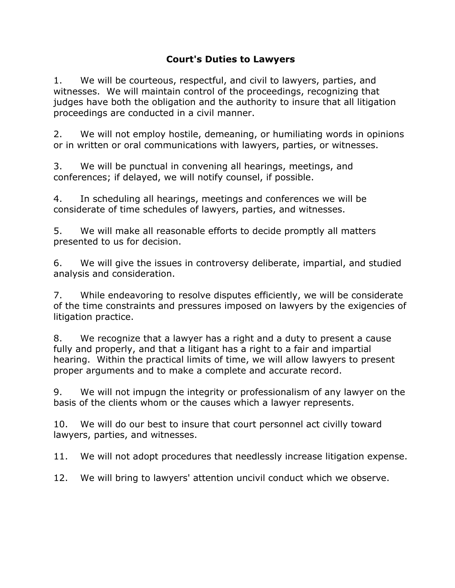### **Court's Duties to Lawyers**

1. We will be courteous, respectful, and civil to lawyers, parties, and witnesses. We will maintain control of the proceedings, recognizing that judges have both the obligation and the authority to insure that all litigation proceedings are conducted in a civil manner.

2. We will not employ hostile, demeaning, or humiliating words in opinions or in written or oral communications with lawyers, parties, or witnesses.

3. We will be punctual in convening all hearings, meetings, and conferences; if delayed, we will notify counsel, if possible.

4. In scheduling all hearings, meetings and conferences we will be considerate of time schedules of lawyers, parties, and witnesses.

5. We will make all reasonable efforts to decide promptly all matters presented to us for decision.

6. We will give the issues in controversy deliberate, impartial, and studied analysis and consideration.

7. While endeavoring to resolve disputes efficiently, we will be considerate of the time constraints and pressures imposed on lawyers by the exigencies of litigation practice.

8. We recognize that a lawyer has a right and a duty to present a cause fully and properly, and that a litigant has a right to a fair and impartial hearing. Within the practical limits of time, we will allow lawyers to present proper arguments and to make a complete and accurate record.

9. We will not impugn the integrity or professionalism of any lawyer on the basis of the clients whom or the causes which a lawyer represents.

10. We will do our best to insure that court personnel act civilly toward lawyers, parties, and witnesses.

11. We will not adopt procedures that needlessly increase litigation expense.

12. We will bring to lawyers' attention uncivil conduct which we observe.